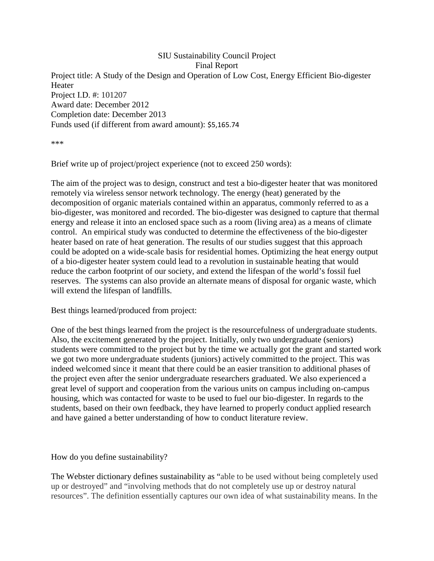SIU Sustainability Council Project Final Report Project title: A Study of the Design and Operation of Low Cost, Energy Efficient Bio-digester Heater Project I.D. #: 101207 Award date: December 2012 Completion date: December 2013 Funds used (if different from award amount): \$5,165.74

\*\*\*

Brief write up of project/project experience (not to exceed 250 words):

The aim of the project was to design, construct and test a bio-digester heater that was monitored remotely via wireless sensor network technology. The energy (heat) generated by the decomposition of organic materials contained within an apparatus, commonly referred to as a bio-digester, was monitored and recorded. The bio-digester was designed to capture that thermal energy and release it into an enclosed space such as a room (living area) as a means of climate control. An empirical study was conducted to determine the effectiveness of the bio-digester heater based on rate of heat generation. The results of our studies suggest that this approach could be adopted on a wide-scale basis for residential homes. Optimizing the heat energy output of a bio-digester heater system could lead to a revolution in sustainable heating that would reduce the carbon footprint of our society, and extend the lifespan of the world's fossil fuel reserves. The systems can also provide an alternate means of disposal for organic waste, which will extend the lifespan of landfills.

Best things learned/produced from project:

One of the best things learned from the project is the resourcefulness of undergraduate students. Also, the excitement generated by the project. Initially, only two undergraduate (seniors) students were committed to the project but by the time we actually got the grant and started work we got two more undergraduate students (juniors) actively committed to the project. This was indeed welcomed since it meant that there could be an easier transition to additional phases of the project even after the senior undergraduate researchers graduated. We also experienced a great level of support and cooperation from the various units on campus including on-campus housing, which was contacted for waste to be used to fuel our bio-digester. In regards to the students, based on their own feedback, they have learned to properly conduct applied research and have gained a better understanding of how to conduct literature review.

How do you define sustainability?

The Webster dictionary defines sustainability as "able to be used without being completely used up or destroyed" and "involving methods that do not completely use up or destroy natural resources". The definition essentially captures our own idea of what sustainability means. In the